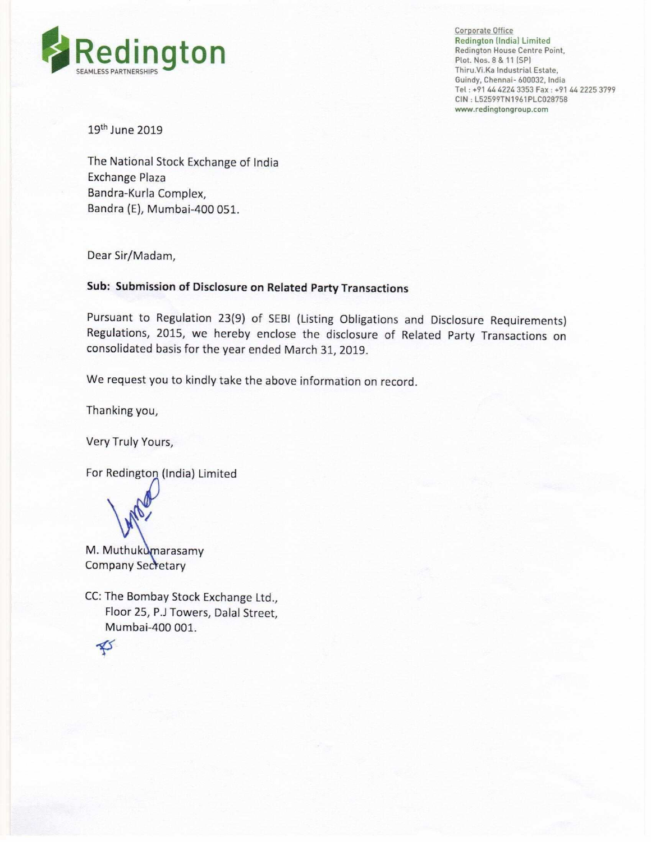

Corporate Office Redington (India) Limited Redington House Centre Point,<br>Plot. Nos. 8 & 11 (SP) Thiru.Vi.Ka Industrial Estate, Guindy. Chennai- 600032, lndia Tel: +91 44 4224 3353 Fax: +91 44 2225 3799 CIN :L52599TN1961PLCU28758 www.redingtongroup.com

19th June 2019

The National Stock Exchange of India Exchange Plaza Bandra-Kurla Complex, Bandra (E), Mumbai-400 051.

Dear Sir/Madam,

#### Sub: Submission of Disclosure on Related Party Transactions

Pursuant to Regulation 23(9) of SEBl (Listing Obligations and Disclosure Requirements) Regulations, 2015, we hereby enclose the disclosure of Related Party Transactions on consolidated basis for the year ended March 31, 2019.

We request you to kindly take the above information on record.

Thanking you,

Very Truly Yours,

For Redington (India) Limited



M. Muthukumarasamy Company Secretary

CC: The Bombay Stock Exchange Ltd., Floor 25, P.J Towers, Dalal Street, Mumbai-400 001.

 $\clubsuit$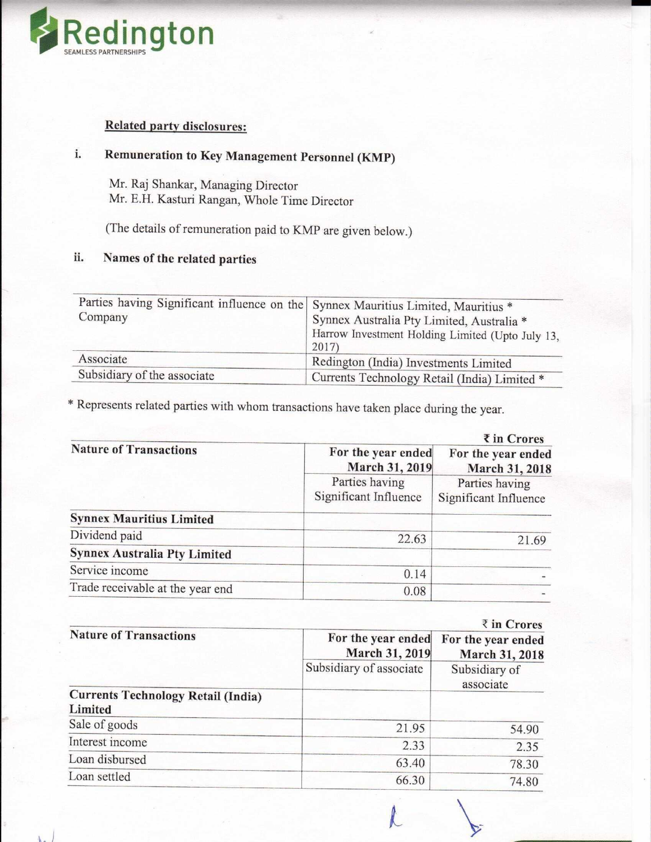

### Related party disclosures:

# i. Remuneration to Key Management Personnel (KMP)

Mr. Raj Shankar, Managing Director Mr. E.H. Kasturi Rangan, Whole Time Director

(The details of remuneration paid to KMP are given below.)

## ii. Names of the related parties

 $\mathbf{L}$ 

| Parties having Significant influence on the Synnex Mauritius Limited, Mauritius *<br>Company | Synnex Australia Pty Limited, Australia *<br>Harrow Investment Holding Limited (Upto July 13,<br>2017) |  |
|----------------------------------------------------------------------------------------------|--------------------------------------------------------------------------------------------------------|--|
| Associate                                                                                    | Redington (India) Investments Limited                                                                  |  |
| Subsidiary of the associate                                                                  | Currents Technology Retail (India) Limited *                                                           |  |

\* Represents related parties with whom transactions have taken place during the year.

|                                     | $\bar{\tau}$ in Crores                  |                                         |
|-------------------------------------|-----------------------------------------|-----------------------------------------|
| <b>Nature of Transactions</b>       | For the year ended<br>March 31, 2019    | For the year ended<br>March 31, 2018    |
|                                     | Parties having<br>Significant Influence | Parties having<br>Significant Influence |
| <b>Synnex Mauritius Limited</b>     |                                         |                                         |
| Dividend paid                       | 22.63                                   | 21.69                                   |
| <b>Synnex Australia Pty Limited</b> |                                         |                                         |
| Service income                      | 0.14                                    |                                         |
| Trade receivable at the year end    | 0.08                                    |                                         |
|                                     |                                         |                                         |

|                                                      |                                      | ₹ in Crores                          |
|------------------------------------------------------|--------------------------------------|--------------------------------------|
| <b>Nature of Transactions</b>                        | For the year ended<br>March 31, 2019 | For the year ended<br>March 31, 2018 |
|                                                      | Subsidiary of associate              | Subsidiary of<br>associate           |
| <b>Currents Technology Retail (India)</b><br>Limited |                                      |                                      |
| Sale of goods                                        | 21.95                                | 54.90                                |
| Interest income                                      | 2.33                                 | 2.35                                 |
| Loan disbursed                                       | 63.40                                | 78.30                                |
| Loan settled                                         | 66.30                                | 74.80                                |